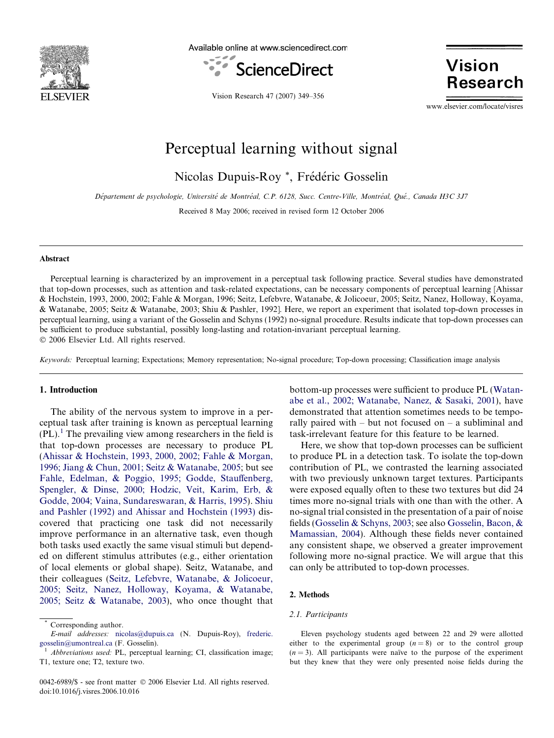

Available online at www.sciencedirect.com



**Vision Research** 

Vision Research 47 (2007) 349–356

www.elsevier.com/locate/visres

# Perceptual learning without signal

Nicolas Dupuis-Roy<sup>\*</sup>, Frédéric Gosselin

Département de psychologie, Université de Montréal, C.P. 6128, Succ. Centre-Ville, Montréal, Oué., Canada H3C 3J7

Received 8 May 2006; received in revised form 12 October 2006

#### Abstract

Perceptual learning is characterized by an improvement in a perceptual task following practice. Several studies have demonstrated that top-down processes, such as attention and task-related expectations, can be necessary components of perceptual learning [Ahissar & Hochstein, 1993, 2000, 2002; Fahle & Morgan, 1996; Seitz, Lefebvre, Watanabe, & Jolicoeur, 2005; Seitz, Nanez, Holloway, Koyama, & Watanabe, 2005; Seitz & Watanabe, 2003; Shiu & Pashler, 1992]. Here, we report an experiment that isolated top-down processes in perceptual learning, using a variant of the Gosselin and Schyns (1992) no-signal procedure. Results indicate that top-down processes can be sufficient to produce substantial, possibly long-lasting and rotation-invariant perceptual learning. © 2006 Elsevier Ltd. All rights reserved.

Keywords: Perceptual learning; Expectations; Memory representation; No-signal procedure; Top-down processing; Classification image analysis

# 1. Introduction

The ability of the nervous system to improve in a perceptual task after training is known as perceptual learning  $(PL).<sup>1</sup>$  The prevailing view among researchers in the field is that top-down processes are necessary to produce PL ([Ahissar & Hochstein, 1993, 2000, 2002; Fahle & Morgan,](#page-7-0) [1996; Jiang & Chun, 2001; Seitz & Watanabe, 2005;](#page-7-0) but see [Fahle, Edelman, & Poggio, 1995; Godde, Stauffenberg,](#page-7-0) [Spengler, & Dinse, 2000; Hodzic, Veit, Karim, Erb, &](#page-7-0) [Godde, 2004; Vaina, Sundareswaran, & Harris, 1995\)](#page-7-0). [Shiu](#page-7-0) [and Pashler \(1992\) and Ahissar and Hochstein \(1993\)](#page-7-0) discovered that practicing one task did not necessarily improve performance in an alternative task, even though both tasks used exactly the same visual stimuli but depended on different stimulus attributes (e.g., either orientation of local elements or global shape). Seitz, Watanabe, and their colleagues ([Seitz, Lefebvre, Watanabe, & Jolicoeur,](#page-7-0) [2005; Seitz, Nanez, Holloway, Koyama, & Watanabe,](#page-7-0) [2005; Seitz & Watanabe, 2003](#page-7-0)), who once thought that bottom-up processes were sufficient to produce PL ([Watan](#page-7-0)[abe et al., 2002; Watanabe, Nanez, & Sasaki, 2001](#page-7-0)), have demonstrated that attention sometimes needs to be temporally paired with – but not focused on – a subliminal and task-irrelevant feature for this feature to be learned.

Here, we show that top-down processes can be sufficient to produce PL in a detection task. To isolate the top-down contribution of PL, we contrasted the learning associated with two previously unknown target textures. Participants were exposed equally often to these two textures but did 24 times more no-signal trials with one than with the other. A no-signal trial consisted in the presentation of a pair of noise fields ([Gosselin & Schyns, 2003](#page-7-0); see also [Gosselin, Bacon, &](#page-7-0) [Mamassian, 2004](#page-7-0)). Although these fields never contained any consistent shape, we observed a greater improvement following more no-signal practice. We will argue that this can only be attributed to top-down processes.

#### 2. Methods

#### 2.1. Participants

Eleven psychology students aged between 22 and 29 were allotted either to the experimental group  $(n = 8)$  or to the control group  $(n = 3)$ . All participants were naïve to the purpose of the experiment but they knew that they were only presented noise fields during the

Corresponding author.

E-mail addresses: [nicolas@dupuis.ca](mailto:nicolas@dupuis.ca) (N. Dupuis-Roy), [frederic.](mailto:frederic.  gosselin@umontreal.ca) [gosselin@umontreal.ca](mailto:frederic.  gosselin@umontreal.ca) (F. Gosselin).<br><sup>1</sup> Abbreviations used: PL, perceptual learning; CI, classification image;

T1, texture one; T2, texture two.

<sup>0042-6989/\$ -</sup> see front matter © 2006 Elsevier Ltd. All rights reserved. doi:10.1016/j.visres.2006.10.016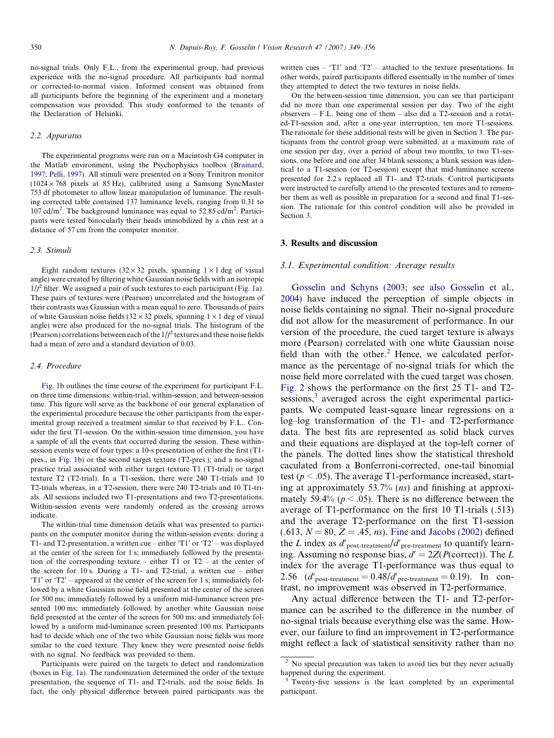<span id="page-1-0"></span>no-signal trials. Only F.L., from the experimental group, had previous experience with the no-signal procedure. All participants had normal or corrected-to-normal vision. Informed consent was obtained from all participants before the beginning of the experiment and a monetary compensation was provided. This study conformed to the tenants of the Declaration of Helsinki.

#### 2.2. Apparatus

The experimental programs were run on a Macintosh G4 computer in the Matlab environment, using the Psychophysics toolbox [\(Brainard,](#page-7-0) [1997; Pelli, 1997](#page-7-0)). All stimuli were presented on a Sony Trinitron monitor  $(1024 \times 768$  pixels at 85 Hz), calibrated using a Samsung SyncMaster 753 df photometer to allow linear manipulation of luminance. The resulting corrected table contained 137 luminance levels, ranging from 0.31 to 107 cd/m<sup>2</sup>. The background luminance was equal to 52.85 cd/m<sup>2</sup>. Participants were tested binocularly their heads immobilized by a chin rest at a distance of 57 cm from the computer monitor.

#### 2.3. Stimuli

Eight random textures  $(32 \times 32$  pixels, spanning  $1 \times 1$  deg of visual angle) were created by filtering white Gaussian noise fields with an isotropic  $1/f^2$  filter. We assigned a pair of such textures to each participant [\(Fig. 1](#page-2-0)a). These pairs of textures were (Pearson) uncorrelated and the histogram of their contrasts was Gaussian with a mean equal to zero. Thousands of pairs of white Gaussian noise fields  $(32 \times 32)$  pixels, spanning  $1 \times 1$  deg of visual angle) were also produced for the no-signal trials. The histogram of the (Pearson) correlations between each of the  $1/f^2$  textures and these noise fields had a mean of zero and a standard deviation of 0.03.

#### 2.4. Procedure

[Fig. 1b](#page-2-0) outlines the time course of the experiment for participant F.L. on three time dimensions: within-trial, within-session, and between-session time. This figure will serve as the backbone of our general explanation of the experimental procedure because the other participants from the experimental group received a treatment similar to that received by F.L.. Consider the first T1-session. On the within-session time dimension, you have a sample of all the events that occurred during the session. These withinsession events were of four types: a 10-s presentation of either the first (T1 pres., in [Fig. 1b](#page-2-0)) or the second target texture (T2-pres.); and a no-signal practice trial associated with either target texture T1 (T1-trial) or target texture T2 (T2-trial). In a T1-session, there were 240 T1-trials and 10 T2-trials whereas, in a T2-session, there were 240 T2-trials and 10 T1-trials. All sessions included two T1-presentations and two T2-presentations. Within-session events were randomly ordered as the crossing arrows indicate.

The within-trial time dimension details what was presented to participants on the computer monitor during the within-session events: during a T1- and T2-presentation, a written cue – either 'T1' or 'T2' – was displayed at the center of the screen for 1 s; immediately followed by the presentation of the corresponding texture – either T1 or T2 – at the center of the screen for 10 s. During a T1- and T2-trial, a written cue – either 'T1' or 'T2' – appeared at the center of the screen for 1 s; immediately followed by a white Gaussian noise field presented at the center of the screen for 500 ms; immediately followed by a uniform mid-luminance screen presented 100 ms; immediately followed by another white Gaussian noise field presented at the center of the screen for 500 ms; and immediately followed by a uniform mid-luminance screen presented 100 ms. Participants had to decide which one of the two white Gaussian noise fields was more similar to the cued texture. They knew they were presented noise fields with no signal. No feedback was provided to them.

Participants were paired on the targets to detect and randomization (boxes in [Fig. 1a](#page-2-0)). The randomization determined the order of the texture presentation, the sequence of T1- and T2-trials, and the noise fields. In fact, the only physical difference between paired participants was the

written cues – 'T1' and 'T2' – attached to the texture presentations. In other words, paired participants differed essentially in the number of times they attempted to detect the two textures in noise fields.

On the between-session time dimension, you can see that participant did no more than one experimental session per day. Two of the eight observers – F.L. being one of them – also did a T2-session and a rotated-T1-session and, after a one-year interruption, ten more T1-sessions. The rationale for these additional tests will be given in Section 3. The participants from the control group were submitted, at a maximum rate of one session per day, over a period of about two months, to two T1-sessions, one before and one after 34 blank sessions; a blank session was identical to a T1-session (or T2-session) except that mid-luminance screens presented for 2.2 s replaced all T1- and T2-trials. Control participants were instructed to carefully attend to the presented textures and to remember them as well as possible in preparation for a second and final T1-session. The rationale for this control condition will also be provided in Section 3.

#### 3. Results and discussion

#### 3.1. Experimental condition: Average results

[Gosselin and Schyns \(2003; see also Gosselin et al.,](#page-7-0) [2004\)](#page-7-0) have induced the perception of simple objects in noise fields containing no signal. Their no-signal procedure did not allow for the measurement of performance. In our version of the procedure, the cued target texture is always more (Pearson) correlated with one white Gaussian noise field than with the other.<sup>2</sup> Hence, we calculated performance as the percentage of no-signal trials for which the noise field more correlated with the cued target was chosen. [Fig. 2](#page-2-0) shows the performance on the first 25 T1- and T2 sessions,<sup>3</sup> averaged across the eight experimental participants. We computed least-square linear regressions on a log–log transformation of the T1- and T2-performance data. The best fits are represented as solid black curves and their equations are displayed at the top-left corner of the panels. The dotted lines show the statistical threshold caculated from a Bonferroni-corrected, one-tail binomial test ( $p < .05$ ). The average T1-performance increased, starting at approximately 53.7% (ns) and finishing at approximately 59.4% ( $p < .05$ ). There is no difference between the average of T1-performance on the first 10 T1-trials (.513) and the average T2-performance on the first T1-session  $(.613, N = 80, Z = .45, ns)$ . [Fine and Jacobs \(2002\)](#page-7-0) defined the L index as  $d'_{\text{post-treatment}}/d'_{\text{pre-treatment}}$  to quantify learning. Assuming no response bias,  $d' = 2Z(P(\text{correct}))$ . The L index for the average T1-performance was thus equal to 2.56  $(d'_{\text{post-treatment}} = 0.48/d'_{\text{pre-treatment}} = 0.19)$ . In contrast, no improvement was observed in T2-performance.

Any actual difference between the T1- and T2-performance can be ascribed to the difference in the number of no-signal trials because everything else was the same. However, our failure to find an improvement in T2-performance might reflect a lack of statistical sensitivity rather than no

<sup>&</sup>lt;sup>2</sup> No special precaution was taken to avoid ties but they never actually happened during the experiment.

<sup>&</sup>lt;sup>3</sup> Twenty-five sessions is the least completed by an experimental participant.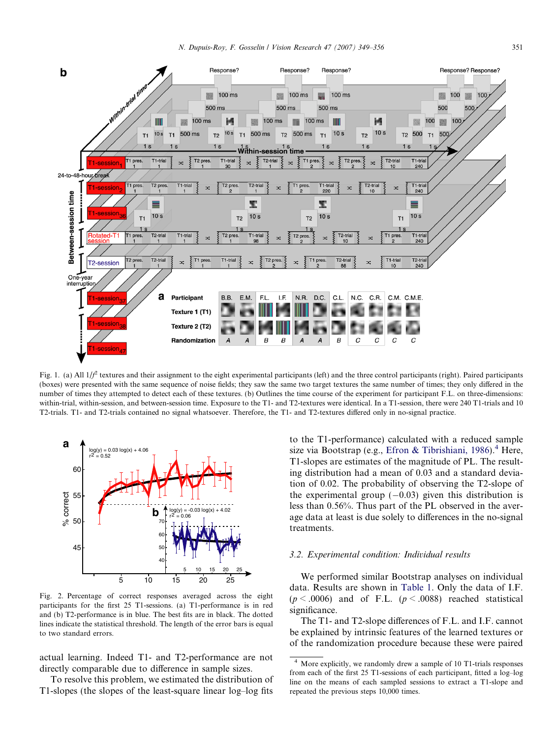<span id="page-2-0"></span>

Fig. 1. (a) All  $1/f^2$  textures and their assignment to the eight experimental participants (left) and the three control participants (right). Paired participants (boxes) were presented with the same sequence of noise fields; they saw the same two target textures the same number of times; they only differed in the number of times they attempted to detect each of these textures. (b) Outlines the time course of the experiment for participant F.L. on three-dimensions: within-trial, within-session, and between-session time. Exposure to the T1- and T2-textures were identical. In a T1-session, there were 240 T1-trials and 10 T2-trials. T1- and T2-trials contained no signal whatsoever. Therefore, the T1- and T2-textures differed only in no-signal practice.



Fig. 2. Percentage of correct responses averaged across the eight participants for the first 25 T1-sessions. (a) T1-performance is in red and (b) T2-performance is in blue. The best fits are in black. The dotted lines indicate the statistical threshold. The length of the error bars is equal to two standard errors.

actual learning. Indeed T1- and T2-performance are not directly comparable due to difference in sample sizes.

To resolve this problem, we estimated the distribution of T1-slopes (the slopes of the least-square linear log–log fits

to the T1-performance) calculated with a reduced sample size via Bootstrap (e.g., [Efron & Tibrishiani, 1986](#page-7-0)).<sup>4</sup> Here, T1-slopes are estimates of the magnitude of PL. The resulting distribution had a mean of 0.03 and a standard deviation of 0.02. The probability of observing the T2-slope of the experimental group  $(-0.03)$  given this distribution is less than 0.56%. Thus part of the PL observed in the average data at least is due solely to differences in the no-signal treatments.

#### 3.2. Experimental condition: Individual results

We performed similar Bootstrap analyses on individual data. Results are shown in [Table 1](#page-3-0). Only the data of I.F.  $(p < .0006)$  and of F.L.  $(p < .0088)$  reached statistical significance.

The T1- and T2-slope differences of F.L. and I.F. cannot be explained by intrinsic features of the learned textures or of the randomization procedure because these were paired

<sup>4</sup> More explicitly, we randomly drew a sample of 10 T1-trials responses from each of the first 25 T1-sessions of each participant, fitted a log–log line on the means of each sampled sessions to extract a T1-slope and repeated the previous steps 10,000 times.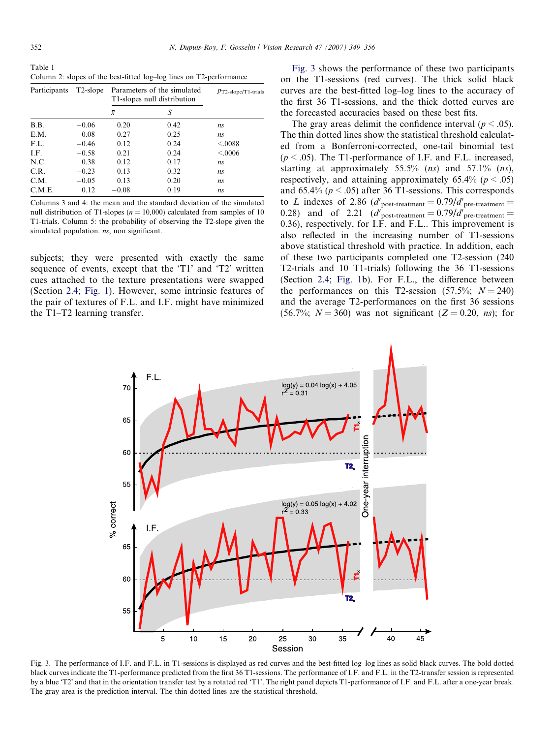<span id="page-3-0"></span>Table 1 Column 2: slopes of the best-fitted log–log lines on T2-performance

| Participants | T <sub>2</sub> -slope | Parameters of the simulated<br>T1-slopes null distribution |      | $p_{\text{T2-slope/T1-trials}}$ |
|--------------|-----------------------|------------------------------------------------------------|------|---------------------------------|
|              |                       | $\overline{x}$                                             | S    |                                 |
| B.B.         | $-0.06$               | 0.20                                                       | 0.42 | ns                              |
| E.M.         | 0.08                  | 0.27                                                       | 0.25 | ns                              |
| F.L.         | $-0.46$               | 0.12                                                       | 0.24 | < 0.088                         |
| I.F.         | $-0.58$               | 0.21                                                       | 0.24 | < 0.0006                        |
| N.C          | 0.38                  | 0.12                                                       | 0.17 | ns                              |
| C.R.         | $-0.23$               | 0.13                                                       | 0.32 | ns                              |
| C.M.         | $-0.05$               | 0.13                                                       | 0.20 | ns                              |
| C.M.E.       | 0.12                  | $-0.08$                                                    | 0.19 | ns                              |

Columns 3 and 4: the mean and the standard deviation of the simulated null distribution of T1-slopes ( $n = 10,000$ ) calculated from samples of 10 T1-trials. Column 5: the probability of observing the T2-slope given the simulated population. ns, non significant.

subjects; they were presented with exactly the same sequence of events, except that the 'T1' and 'T2' written cues attached to the texture presentations were swapped (Section [2.4](#page-1-0); [Fig. 1](#page-2-0)). However, some intrinsic features of the pair of textures of F.L. and I.F. might have minimized the T1–T2 learning transfer.

Fig. 3 shows the performance of these two participants on the T1-sessions (red curves). The thick solid black curves are the best-fitted log–log lines to the accuracy of the first 36 T1-sessions, and the thick dotted curves are the forecasted accuracies based on these best fits.

The gray areas delimit the confidence interval ( $p < .05$ ). The thin dotted lines show the statistical threshold calculated from a Bonferroni-corrected, one-tail binomial test  $(p < .05)$ . The T1-performance of I.F. and F.L. increased, starting at approximately  $55.5\%$  (*ns*) and  $57.1\%$  (*ns*), respectively, and attaining approximately  $65.4\%$  ( $p < .05$ ) and 65.4% ( $p < .05$ ) after 36 T1-sessions. This corresponds to L indexes of 2.86 (d'<sub>post-treatment</sub> =  $0.79/d$ '<sub>pre-treatment</sub> = 0.28) and of 2.21  $(d'_{\text{post-treatment}} = 0.79/d'_{\text{pre-treatment}} =$ 0.36), respectively, for I.F. and F.L.. This improvement is also reflected in the increasing number of T1-sessions above statistical threshold with practice. In addition, each of these two participants completed one T2-session (240 T2-trials and 10 T1-trials) following the 36 T1-sessions (Section [2.4](#page-1-0); [Fig. 1](#page-2-0)b). For F.L., the difference between the performances on this T2-session (57.5%;  $N = 240$ ) and the average T2-performances on the first 36 sessions (56.7%;  $N = 360$ ) was not significant (Z = 0.20, ns); for



Fig. 3. The performance of I.F. and F.L. in T1-sessions is displayed as red curves and the best-fitted log–log lines as solid black curves. The bold dotted black curves indicate the T1-performance predicted from the first 36 T1-sessions. The performance of I.F. and F.L. in the T2-transfer session is represented by a blue 'T2' and that in the orientation transfer test by a rotated red 'T1'. The right panel depicts T1-performance of I.F. and F.L. after a one-year break. The gray area is the prediction interval. The thin dotted lines are the statistical threshold.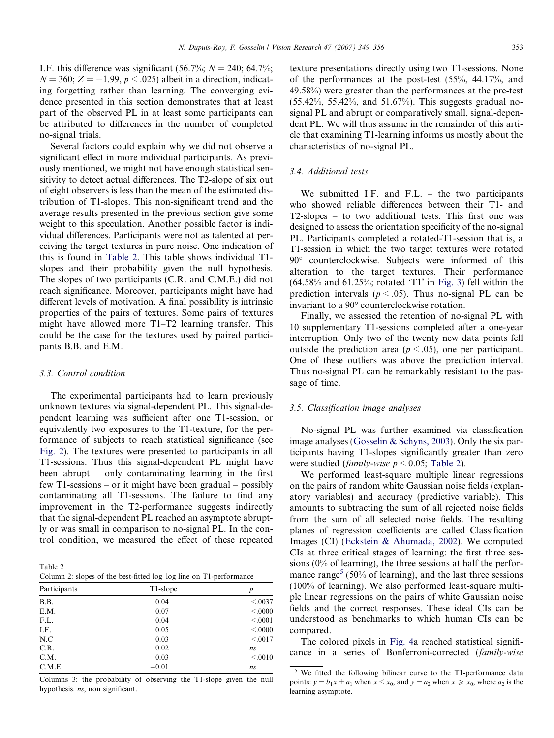I.F. this difference was significant (56.7%;  $N = 240$ ; 64.7%;  $N = 360; Z = -1.99, p \leq .025$ ) albeit in a direction, indicating forgetting rather than learning. The converging evidence presented in this section demonstrates that at least part of the observed PL in at least some participants can be attributed to differences in the number of completed no-signal trials.

Several factors could explain why we did not observe a significant effect in more individual participants. As previously mentioned, we might not have enough statistical sensitivity to detect actual differences. The T2-slope of six out of eight observers is less than the mean of the estimated distribution of T1-slopes. This non-significant trend and the average results presented in the previous section give some weight to this speculation. Another possible factor is individual differences. Participants were not as talented at perceiving the target textures in pure noise. One indication of this is found in Table 2. This table shows individual T1 slopes and their probability given the null hypothesis. The slopes of two participants (C.R. and C.M.E.) did not reach significance. Moreover, participants might have had different levels of motivation. A final possibility is intrinsic properties of the pairs of textures. Some pairs of textures might have allowed more T1–T2 learning transfer. This could be the case for the textures used by paired participants B.B. and E.M.

### 3.3. Control condition

The experimental participants had to learn previously unknown textures via signal-dependent PL. This signal-dependent learning was sufficient after one T1-session, or equivalently two exposures to the T1-texture, for the performance of subjects to reach statistical significance (see [Fig. 2](#page-2-0)). The textures were presented to participants in all T1-sessions. Thus this signal-dependent PL might have been abrupt – only contaminating learning in the first few T1-sessions – or it might have been gradual – possibly contaminating all T1-sessions. The failure to find any improvement in the T2-performance suggests indirectly that the signal-dependent PL reached an asymptote abruptly or was small in comparison to no-signal PL. In the control condition, we measured the effect of these repeated

Table 2 Column 2: slopes of the best-fitted log–log line on T1-performance

| Participants | T1-slope | р       |
|--------------|----------|---------|
| B.B.         | 0.04     | < 0.037 |
| E.M.         | 0.07     | < 0000  |
| F.L.         | 0.04     | < 0.001 |
| I.F.         | 0.05     | < 0000  |
| N.C          | 0.03     | < 0.017 |
| C.R.         | 0.02     | ns      |
| C.M.         | 0.03     | < 0.010 |
| C.M.E.       | $-0.01$  | ns      |

Columns 3: the probability of observing the T1-slope given the null hypothesis. ns, non significant.

texture presentations directly using two T1-sessions. None of the performances at the post-test (55%, 44.17%, and 49.58%) were greater than the performances at the pre-test (55.42%, 55.42%, and 51.67%). This suggests gradual nosignal PL and abrupt or comparatively small, signal-dependent PL. We will thus assume in the remainder of this article that examining T1-learning informs us mostly about the characteristics of no-signal PL.

## 3.4. Additional tests

We submitted I.F. and F.L. – the two participants who showed reliable differences between their T1- and T2-slopes – to two additional tests. This first one was designed to assess the orientation specificity of the no-signal PL. Participants completed a rotated-T1-session that is, a T1-session in which the two target textures were rotated 90° counterclockwise. Subjects were informed of this alteration to the target textures. Their performance  $(64.58\%$  and  $61.25\%$ ; rotated 'T1' in [Fig. 3](#page-3-0)) fell within the prediction intervals ( $p < .05$ ). Thus no-signal PL can be invariant to a 90° counterclockwise rotation.

Finally, we assessed the retention of no-signal PL with 10 supplementary T1-sessions completed after a one-year interruption. Only two of the twenty new data points fell outside the prediction area ( $p < .05$ ), one per participant. One of these outliers was above the prediction interval. Thus no-signal PL can be remarkably resistant to the passage of time.

## 3.5. Classification image analyses

No-signal PL was further examined via classification image analyses [\(Gosselin & Schyns, 2003\)](#page-7-0). Only the six participants having T1-slopes significantly greater than zero were studied (*family-wise*  $p \le 0.05$ ; Table 2).

We performed least-square multiple linear regressions on the pairs of random white Gaussian noise fields (explanatory variables) and accuracy (predictive variable). This amounts to subtracting the sum of all rejected noise fields from the sum of all selected noise fields. The resulting planes of regression coefficients are called Classification Images (CI) ([Eckstein & Ahumada, 2002\)](#page-7-0). We computed CIs at three critical stages of learning: the first three sessions (0% of learning), the three sessions at half the performance range<sup>5</sup> (50% of learning), and the last three sessions (100% of learning). We also performed least-square multiple linear regressions on the pairs of white Gaussian noise fields and the correct responses. These ideal CIs can be understood as benchmarks to which human CIs can be compared.

The colored pixels in [Fig. 4a](#page-5-0) reached statistical significance in a series of Bonferroni-corrected (family-wise

 $5$  We fitted the following bilinear curve to the T1-performance data points:  $y = b_1x + a_1$  when  $x \le x_0$ , and  $y = a_2$  when  $x \ge x_0$ , where  $a_2$  is the learning asymptote.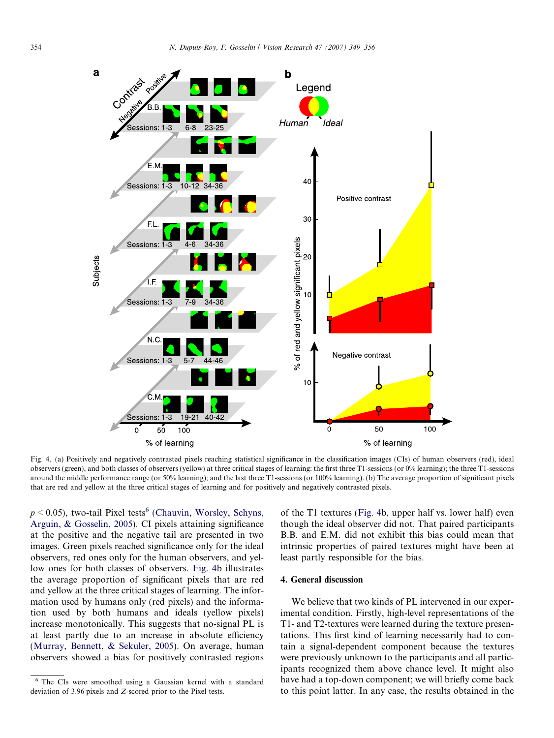<span id="page-5-0"></span>

Fig. 4. (a) Positively and negatively contrasted pixels reaching statistical significance in the classification images (CIs) of human observers (red), ideal observers (green), and both classes of observers (yellow) at three critical stages of learning: the first three T1-sessions (or 0% learning); the three T1-sessions around the middle performance range (or 50% learning); and the last three T1-sessions (or 100% learning). (b) The average proportion of significant pixels that are red and yellow at the three critical stages of learning and for positively and negatively contrasted pixels.

 $p \le 0.05$ ), two-tail Pixel tests<sup>6</sup> [\(Chauvin, Worsley, Schyns,](#page-7-0) [Arguin, & Gosselin, 2005\)](#page-7-0). CI pixels attaining significance at the positive and the negative tail are presented in two images. Green pixels reached significance only for the ideal observers, red ones only for the human observers, and yellow ones for both classes of observers. Fig. 4b illustrates the average proportion of significant pixels that are red and yellow at the three critical stages of learning. The information used by humans only (red pixels) and the information used by both humans and ideals (yellow pixels) increase monotonically. This suggests that no-signal PL is at least partly due to an increase in absolute efficiency [\(Murray, Bennett, & Sekuler, 2005\)](#page-7-0). On average, human observers showed a bias for positively contrasted regions

of the T1 textures (Fig. 4b, upper half vs. lower half) even though the ideal observer did not. That paired participants B.B. and E.M. did not exhibit this bias could mean that intrinsic properties of paired textures might have been at least partly responsible for the bias.

# 4. General discussion

We believe that two kinds of PL intervened in our experimental condition. Firstly, high-level representations of the T1- and T2-textures were learned during the texture presentations. This first kind of learning necessarily had to contain a signal-dependent component because the textures were previously unknown to the participants and all participants recognized them above chance level. It might also have had a top-down component; we will briefly come back to this point latter. In any case, the results obtained in the

<sup>6</sup> The CIs were smoothed using a Gaussian kernel with a standard deviation of 3.96 pixels and Z-scored prior to the Pixel tests.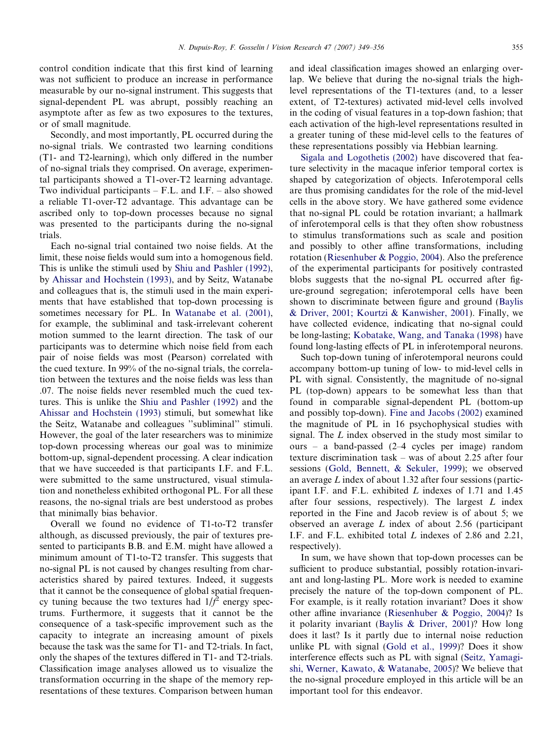control condition indicate that this first kind of learning was not sufficient to produce an increase in performance measurable by our no-signal instrument. This suggests that signal-dependent PL was abrupt, possibly reaching an asymptote after as few as two exposures to the textures, or of small magnitude.

Secondly, and most importantly, PL occurred during the no-signal trials. We contrasted two learning conditions (T1- and T2-learning), which only differed in the number of no-signal trials they comprised. On average, experimental participants showed a T1-over-T2 learning advantage. Two individual participants – F.L. and I.F. – also showed a reliable T1-over-T2 advantage. This advantage can be ascribed only to top-down processes because no signal was presented to the participants during the no-signal trials.

Each no-signal trial contained two noise fields. At the limit, these noise fields would sum into a homogenous field. This is unlike the stimuli used by [Shiu and Pashler \(1992\),](#page-7-0) by [Ahissar and Hochstein \(1993\),](#page-7-0) and by Seitz, Watanabe and colleagues that is, the stimuli used in the main experiments that have established that top-down processing is sometimes necessary for PL. In [Watanabe et al. \(2001\),](#page-7-0) for example, the subliminal and task-irrelevant coherent motion summed to the learnt direction. The task of our participants was to determine which noise field from each pair of noise fields was most (Pearson) correlated with the cued texture. In 99% of the no-signal trials, the correlation between the textures and the noise fields was less than .07. The noise fields never resembled much the cued textures. This is unlike the [Shiu and Pashler \(1992\)](#page-7-0) and the [Ahissar and Hochstein \(1993\)](#page-7-0) stimuli, but somewhat like the Seitz, Watanabe and colleagues ''subliminal'' stimuli. However, the goal of the later researchers was to minimize top-down processing whereas our goal was to minimize bottom-up, signal-dependent processing. A clear indication that we have succeeded is that participants I.F. and F.L. were submitted to the same unstructured, visual stimulation and nonetheless exhibited orthogonal PL. For all these reasons, the no-signal trials are best understood as probes that minimally bias behavior.

Overall we found no evidence of T1-to-T2 transfer although, as discussed previously, the pair of textures presented to participants B.B. and E.M. might have allowed a minimum amount of T1-to-T2 transfer. This suggests that no-signal PL is not caused by changes resulting from characteristics shared by paired textures. Indeed, it suggests that it cannot be the consequence of global spatial frequency tuning because the two textures had  $1/\hat{f}^2$  energy spectrums. Furthermore, it suggests that it cannot be the consequence of a task-specific improvement such as the capacity to integrate an increasing amount of pixels because the task was the same for T1- and T2-trials. In fact, only the shapes of the textures differed in T1- and T2-trials. Classification image analyses allowed us to visualize the transformation occurring in the shape of the memory representations of these textures. Comparison between human and ideal classification images showed an enlarging overlap. We believe that during the no-signal trials the highlevel representations of the T1-textures (and, to a lesser extent, of T2-textures) activated mid-level cells involved in the coding of visual features in a top-down fashion; that each activation of the high-level representations resulted in a greater tuning of these mid-level cells to the features of these representations possibly via Hebbian learning.

[Sigala and Logothetis \(2002\)](#page-7-0) have discovered that feature selectivity in the macaque inferior temporal cortex is shaped by categorization of objects. Inferotemporal cells are thus promising candidates for the role of the mid-level cells in the above story. We have gathered some evidence that no-signal PL could be rotation invariant; a hallmark of inferotemporal cells is that they often show robustness to stimulus transformations such as scale and position and possibly to other affine transformations, including rotation ([Riesenhuber & Poggio, 2004](#page-7-0)). Also the preference of the experimental participants for positively contrasted blobs suggests that the no-signal PL occurred after figure-ground segregation; inferotemporal cells have been shown to discriminate between figure and ground ([Baylis](#page-7-0) [& Driver, 2001; Kourtzi & Kanwisher, 2001\)](#page-7-0). Finally, we have collected evidence, indicating that no-signal could be long-lasting; [Kobatake, Wang, and Tanaka \(1998\)](#page-7-0) have found long-lasting effects of PL in inferotemporal neurons.

Such top-down tuning of inferotemporal neurons could accompany bottom-up tuning of low- to mid-level cells in PL with signal. Consistently, the magnitude of no-signal PL (top-down) appears to be somewhat less than that found in comparable signal-dependent PL (bottom-up and possibly top-down). [Fine and Jacobs \(2002\)](#page-7-0) examined the magnitude of PL in 16 psychophysical studies with signal. The L index observed in the study most similar to ours – a band-passed (2–4 cycles per image) random texture discrimination task – was of about 2.25 after four sessions [\(Gold, Bennett, & Sekuler, 1999\)](#page-7-0); we observed an average L index of about 1.32 after four sessions (participant I.F. and F.L. exhibited L indexes of 1.71 and 1.45 after four sessions, respectively). The largest  $L$  index reported in the Fine and Jacob review is of about 5; we observed an average L index of about 2.56 (participant I.F. and F.L. exhibited total L indexes of 2.86 and 2.21, respectively).

In sum, we have shown that top-down processes can be sufficient to produce substantial, possibly rotation-invariant and long-lasting PL. More work is needed to examine precisely the nature of the top-down component of PL. For example, is it really rotation invariant? Does it show other affine invariance [\(Riesenhuber & Poggio, 2004](#page-7-0))? Is it polarity invariant [\(Baylis & Driver, 2001](#page-7-0))? How long does it last? Is it partly due to internal noise reduction unlike PL with signal [\(Gold et al., 1999\)](#page-7-0)? Does it show interference effects such as PL with signal [\(Seitz, Yamagi](#page-7-0)[shi, Werner, Kawato, & Watanabe, 2005](#page-7-0))? We believe that the no-signal procedure employed in this article will be an important tool for this endeavor.